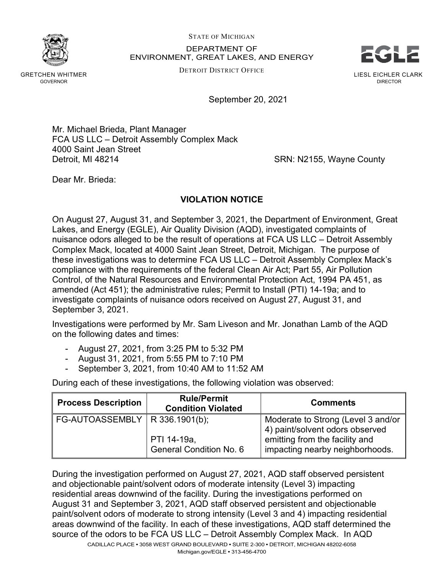STATE OF MICHIGAN

DEPARTMENT OF ENVIRONMENT, GREAT LAKES, AND ENERGY STATE OF MICHIGAN<br>DEPARTMENT OF<br>ENVIRONMENT, GREAT LAKES, AND ENERGY<br>DETROIT DISTRICT OFFICE

DETROIT DISTRICT OFFICE



GRETCHEN WHITMER GOVERNOR

September 20, 2021

Mr. Michael Brieda, Plant Manager FCA US LLC – Detroit Assembly Complex Mack 4000 Saint Jean Street Detroit, MI 48214 **SRN: N2155, Wayne County** 

Dear Mr. Brieda:

## **VIOLATION NOTICE**

On August 27, August 31, and September 3, 2021, the Department of Environment, Great Lakes, and Energy (EGLE), Air Quality Division (AQD), investigated complaints of nuisance odors alleged to be the result of operations at FCA US LLC – Detroit Assembly Complex Mack, located at 4000 Saint Jean Street, Detroit, Michigan. The purpose of these investigations was to determine FCA US LLC – Detroit Assembly Complex Mack's compliance with the requirements of the federal Clean Air Act; Part 55, Air Pollution Control, of the Natural Resources and Environmental Protection Act, 1994 PA 451, as amended (Act 451); the administrative rules; Permit to Install (PTI) 14-19a; and to investigate complaints of nuisance odors received on August 27, August 31, and September 3, 2021.

Investigations were performed by Mr. Sam Liveson and Mr. Jonathan Lamb of the AQD on the following dates and times:

- August 27, 2021, from 3:25 PM to 5:32 PM
- August 31, 2021, from 5:55 PM to 7:10 PM
- September 3, 2021, from 10:40 AM to 11:52 AM

During each of these investigations, the following violation was observed:

| <b>Process Description</b>       | <b>Rule/Permit</b><br><b>Condition Violated</b> | <b>Comments</b>                                                       |
|----------------------------------|-------------------------------------------------|-----------------------------------------------------------------------|
| FG-AUTOASSEMBLY   R 336.1901(b); |                                                 | Moderate to Strong (Level 3 and/or<br>4) paint/solvent odors observed |
|                                  | PTI 14-19a,<br><b>General Condition No. 6</b>   | emitting from the facility and<br>impacting nearby neighborhoods.     |

During the investigation performed on August 27, 2021, AQD staff observed persistent and objectionable paint/solvent odors of moderate intensity (Level 3) impacting residential areas downwind of the facility. During the investigations performed on August 31 and September 3, 2021, AQD staff observed persistent and objectionable paint/solvent odors of moderate to strong intensity (Level 3 and 4) impacting residential areas downwind of the facility. In each of these investigations, AQD staff determined the source of the odors to be FCA US LLC – Detroit Assembly Complex Mack. In AQD